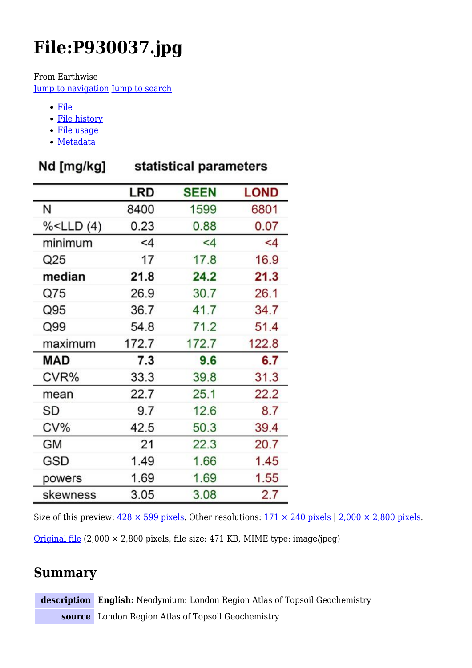# **File:P930037.jpg**

From Earthwise

[Jump to navigation](#page--1-0) [Jump to search](#page--1-0)

- [File](#page--1-0)
- [File history](#page--1-0)
- [File usage](#page--1-0)
- [Metadata](#page--1-0)

|  | Nd [mg/kg] |  |
|--|------------|--|
|--|------------|--|

### statistical parameters

|                                                                    | LRD   | <b>SEEN</b> | <b>LOND</b> |
|--------------------------------------------------------------------|-------|-------------|-------------|
| И                                                                  | 8400  | 1599        | 6801        |
| % <lld(4)< td=""><td>0.23</td><td>0.88</td><td>0.07</td></lld(4)<> | 0.23  | 0.88        | 0.07        |
| minimum                                                            | $<$ 4 | $\leq 4$    | $\leq 4$    |
| Q25                                                                | 17    | 17.8        | 16.9        |
| median                                                             | 21.8  | 24.2        | 21.3        |
| Q75                                                                | 26.9  | 30.7        | 26.1        |
| Q95                                                                | 36.7  | 41.7        | 34.7        |
| Q99                                                                | 54.8  | 71.2        | 51.4        |
| maximum                                                            | 172.7 | 172.7       | 122.8       |
| MAD                                                                | 7.3   | 9.6         | 6.7         |
| CVR%                                                               | 33.3  | 39.8        | 31.3        |
| mean                                                               | 22.7  | 25.1        | 22.2        |
| SD                                                                 | 9.7   | 12.6        | 8.7         |
| $CV\%$                                                             | 42.5  | 50.3        | 39.4        |
| <b>GM</b>                                                          | 21    | 22.3        | 20.7        |
| GSD                                                                | 1.49  | 1.66        | 1.45        |
| powers                                                             | 1.69  | 1.69        | 1.55        |
| skewness                                                           | 3.05  | 3.08        | 2.7         |

Size of this preview:  $428 \times 599$  pixels. Other resolutions:  $171 \times 240$  pixels | 2,000  $\times$  2,800 pixels. [Original file](http://earthwise.bgs.ac.uk/images/5/5d/P930037.jpg) (2,000 × 2,800 pixels, file size: 471 KB, MIME type: image/jpeg)

# **Summary**

**description English:** Neodymium: London Region Atlas of Topsoil Geochemistry **source** London Region Atlas of Topsoil Geochemistry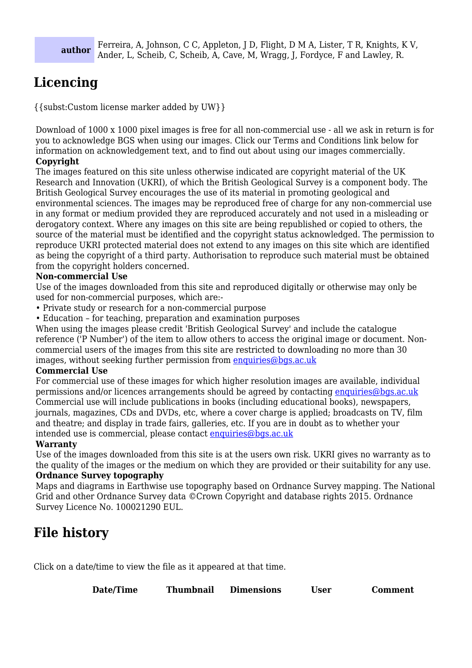#### **author** Ferreira, A, Johnson, C C, Appleton, J D, Flight, D M A, Lister, T R, Knights, K V, Ander, L, Scheib, C, Scheib, A, Cave, M, Wragg, J, Fordyce, F and Lawley, R.

# **Licencing**

{{subst:Custom license marker added by UW}}

Download of 1000 x 1000 pixel images is free for all non-commercial use - all we ask in return is for you to acknowledge BGS when using our images. Click our Terms and Conditions link below for information on acknowledgement text, and to find out about using our images commercially. **Copyright**

The images featured on this site unless otherwise indicated are copyright material of the UK Research and Innovation (UKRI), of which the British Geological Survey is a component body. The British Geological Survey encourages the use of its material in promoting geological and environmental sciences. The images may be reproduced free of charge for any non-commercial use in any format or medium provided they are reproduced accurately and not used in a misleading or derogatory context. Where any images on this site are being republished or copied to others, the source of the material must be identified and the copyright status acknowledged. The permission to reproduce UKRI protected material does not extend to any images on this site which are identified as being the copyright of a third party. Authorisation to reproduce such material must be obtained from the copyright holders concerned.

#### **Non-commercial Use**

Use of the images downloaded from this site and reproduced digitally or otherwise may only be used for non-commercial purposes, which are:-

- Private study or research for a non-commercial purpose
- Education for teaching, preparation and examination purposes

When using the images please credit 'British Geological Survey' and include the catalogue reference ('P Number') of the item to allow others to access the original image or document. Noncommercial users of the images from this site are restricted to downloading no more than 30 images, without seeking further permission from [enquiries@bgs.ac.uk](mailto:enquiries@bgs.ac.uk)

#### **Commercial Use**

For commercial use of these images for which higher resolution images are available, individual permissions and/or licences arrangements should be agreed by contacting [enquiries@bgs.ac.uk](mailto:enquiries@bgs.ac.uk) Commercial use will include publications in books (including educational books), newspapers, journals, magazines, CDs and DVDs, etc, where a cover charge is applied; broadcasts on TV, film and theatre; and display in trade fairs, galleries, etc. If you are in doubt as to whether your intended use is commercial, please contact [enquiries@bgs.ac.uk](mailto:enquiries@bgs.ac.uk)

#### **Warranty**

Use of the images downloaded from this site is at the users own risk. UKRI gives no warranty as to the quality of the images or the medium on which they are provided or their suitability for any use.

#### **Ordnance Survey topography**

Maps and diagrams in Earthwise use topography based on Ordnance Survey mapping. The National Grid and other Ordnance Survey data ©Crown Copyright and database rights 2015. Ordnance Survey Licence No. 100021290 EUL.

### **File history**

Click on a date/time to view the file as it appeared at that time.

| Date/Time<br><b>Thumbnail</b> | <b>Dimensions</b> | User | <b>Comment</b> |
|-------------------------------|-------------------|------|----------------|
|-------------------------------|-------------------|------|----------------|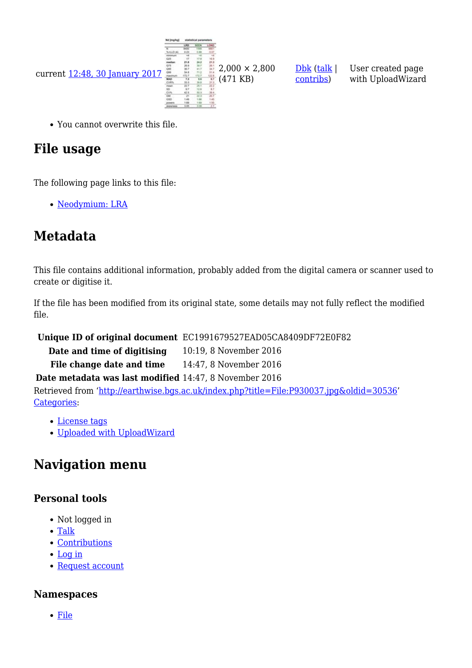

You cannot overwrite this file.

# **File usage**

The following page links to this file:

[Neodymium: LRA](http://earthwise.bgs.ac.uk/index.php/Neodymium:_LRA)

# **Metadata**

This file contains additional information, probably added from the digital camera or scanner used to create or digitise it.

[Dbk](http://earthwise.bgs.ac.uk/index.php/User:Dbk) [\(talk](http://earthwise.bgs.ac.uk/index.php/User_talk:Dbk) | [contribs\)](http://earthwise.bgs.ac.uk/index.php/Special:Contributions/Dbk)

User created page with UploadWizard

If the file has been modified from its original state, some details may not fully reflect the modified file.

**Unique ID of original document** EC1991679527EAD05CA8409DF72E0F82

**Date and time of digitising** 10:19, 8 November 2016

File change date and time 14:47, 8 November 2016

**Date metadata was last modified** 14:47, 8 November 2016

Retrieved from ['http://earthwise.bgs.ac.uk/index.php?title=File:P930037.jpg&oldid=30536](http://earthwise.bgs.ac.uk/index.php?title=File:P930037.jpg&oldid=30536)' [Categories:](http://earthwise.bgs.ac.uk/index.php/Special:Categories)

- [License tags](http://earthwise.bgs.ac.uk/index.php/Category:License_tags)
- [Uploaded with UploadWizard](http://earthwise.bgs.ac.uk/index.php/Category:Uploaded_with_UploadWizard)

## **Navigation menu**

### **Personal tools**

- Not logged in
- [Talk](http://earthwise.bgs.ac.uk/index.php/Special:MyTalk)
- [Contributions](http://earthwise.bgs.ac.uk/index.php/Special:MyContributions)
- [Log in](http://earthwise.bgs.ac.uk/index.php?title=Special:UserLogin&returnto=File%3AP930037.jpg&returntoquery=action%3Dmpdf)
- [Request account](http://earthwise.bgs.ac.uk/index.php/Special:RequestAccount)

### **Namespaces**

[File](http://earthwise.bgs.ac.uk/index.php/File:P930037.jpg)